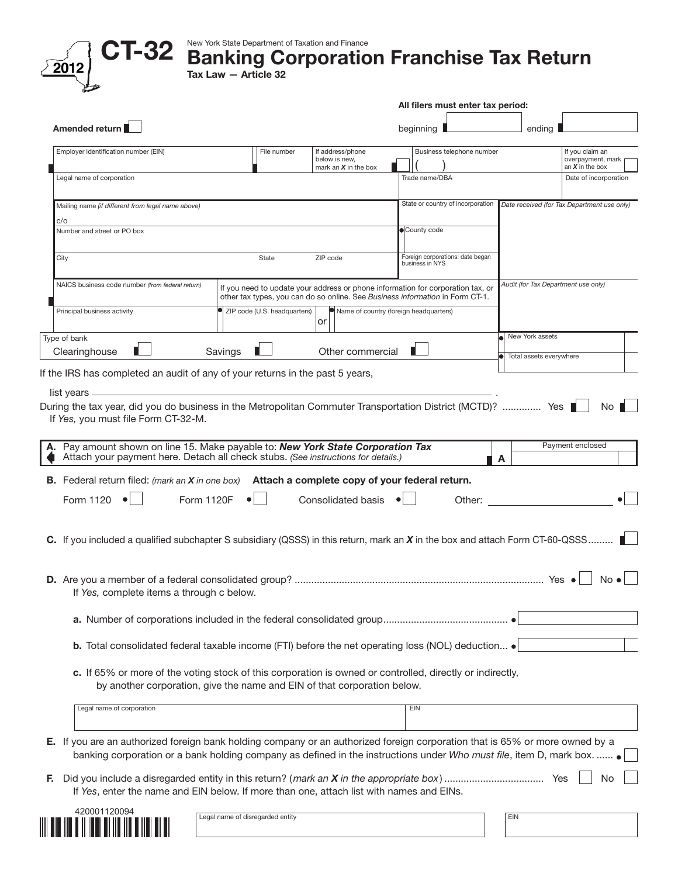|                                                                                                                                                                                                                                                                                                                                                                                                                                                                                                                                    |            |                              |                                                                                 |                 | All filers must enter tax period: |   |                         |                                                           |
|------------------------------------------------------------------------------------------------------------------------------------------------------------------------------------------------------------------------------------------------------------------------------------------------------------------------------------------------------------------------------------------------------------------------------------------------------------------------------------------------------------------------------------|------------|------------------------------|---------------------------------------------------------------------------------|-----------------|-----------------------------------|---|-------------------------|-----------------------------------------------------------|
| Amended return                                                                                                                                                                                                                                                                                                                                                                                                                                                                                                                     |            |                              |                                                                                 | beginning       |                                   |   | ending                  |                                                           |
| Employer identification number (EIN)                                                                                                                                                                                                                                                                                                                                                                                                                                                                                               |            | File number                  | If address/phone<br>below is new.<br>mark an $X$ in the box                     |                 | Business telephone number         |   |                         | If you claim an<br>overpayment, mark<br>an $X$ in the box |
| Legal name of corporation                                                                                                                                                                                                                                                                                                                                                                                                                                                                                                          |            |                              |                                                                                 | Trade name/DBA  |                                   |   |                         | Date of incorporation                                     |
| Mailing name (if different from legal name above)                                                                                                                                                                                                                                                                                                                                                                                                                                                                                  |            |                              |                                                                                 |                 | State or country of incorporation |   |                         | Date received (for Tax Department use only)               |
| c/o<br>Number and street or PO box                                                                                                                                                                                                                                                                                                                                                                                                                                                                                                 |            |                              |                                                                                 | County code     |                                   |   |                         |                                                           |
|                                                                                                                                                                                                                                                                                                                                                                                                                                                                                                                                    |            |                              |                                                                                 |                 |                                   |   |                         |                                                           |
| City                                                                                                                                                                                                                                                                                                                                                                                                                                                                                                                               |            | State                        | ZIP code                                                                        | business in NYS | Foreign corporations: date began  |   |                         |                                                           |
| NAICS business code number (from federal return)                                                                                                                                                                                                                                                                                                                                                                                                                                                                                   |            |                              | If you need to update your address or phone information for corporation tax, or |                 |                                   |   |                         | Audit (for Tax Department use only)                       |
|                                                                                                                                                                                                                                                                                                                                                                                                                                                                                                                                    |            |                              | other tax types, you can do so online. See Business information in Form CT-1.   |                 |                                   |   |                         |                                                           |
| Principal business activity                                                                                                                                                                                                                                                                                                                                                                                                                                                                                                        |            | ZIP code (U.S. headquarters) | Name of country (foreign headquarters)<br>or                                    |                 |                                   |   |                         |                                                           |
| Type of bank                                                                                                                                                                                                                                                                                                                                                                                                                                                                                                                       |            |                              |                                                                                 |                 |                                   |   | New York assets         |                                                           |
| Clearinghouse                                                                                                                                                                                                                                                                                                                                                                                                                                                                                                                      | Savings    |                              | Other commercial                                                                |                 |                                   |   | Total assets everywhere |                                                           |
|                                                                                                                                                                                                                                                                                                                                                                                                                                                                                                                                    |            |                              |                                                                                 |                 |                                   |   |                         | No I<br>Payment enclosed                                  |
| Pay amount shown on line 15. Make payable to: New York State Corporation Tax<br>Attach your payment here. Detach all check stubs. (See instructions for details.)                                                                                                                                                                                                                                                                                                                                                                  |            |                              |                                                                                 |                 |                                   | A |                         |                                                           |
|                                                                                                                                                                                                                                                                                                                                                                                                                                                                                                                                    |            |                              |                                                                                 |                 |                                   |   |                         |                                                           |
|                                                                                                                                                                                                                                                                                                                                                                                                                                                                                                                                    |            |                              |                                                                                 |                 |                                   |   |                         |                                                           |
| Form 1120                                                                                                                                                                                                                                                                                                                                                                                                                                                                                                                          | Form 1120F |                              | Consolidated basis                                                              |                 | Other:                            |   |                         |                                                           |
|                                                                                                                                                                                                                                                                                                                                                                                                                                                                                                                                    |            |                              |                                                                                 |                 |                                   |   |                         |                                                           |
|                                                                                                                                                                                                                                                                                                                                                                                                                                                                                                                                    |            |                              |                                                                                 |                 |                                   |   |                         |                                                           |
|                                                                                                                                                                                                                                                                                                                                                                                                                                                                                                                                    |            |                              |                                                                                 |                 |                                   |   |                         |                                                           |
|                                                                                                                                                                                                                                                                                                                                                                                                                                                                                                                                    |            |                              |                                                                                 |                 |                                   |   |                         | $No \bullet$                                              |
| If Yes, complete items a through c below.                                                                                                                                                                                                                                                                                                                                                                                                                                                                                          |            |                              |                                                                                 |                 |                                   |   |                         |                                                           |
|                                                                                                                                                                                                                                                                                                                                                                                                                                                                                                                                    |            |                              |                                                                                 |                 |                                   |   |                         |                                                           |
| <b>b.</b> Total consolidated federal taxable income (FTI) before the net operating loss (NOL) deduction $\bullet$                                                                                                                                                                                                                                                                                                                                                                                                                  |            |                              |                                                                                 |                 |                                   |   |                         |                                                           |
|                                                                                                                                                                                                                                                                                                                                                                                                                                                                                                                                    |            |                              |                                                                                 |                 |                                   |   |                         |                                                           |
| c. If 65% or more of the voting stock of this corporation is owned or controlled, directly or indirectly,<br>by another corporation, give the name and EIN of that corporation below.                                                                                                                                                                                                                                                                                                                                              |            |                              |                                                                                 |                 |                                   |   |                         |                                                           |
| If the IRS has completed an audit of any of your returns in the past 5 years,<br>list years $\equiv$<br>During the tax year, did you do business in the Metropolitan Commuter Transportation District (MCTD)?  Yes<br>If Yes, you must file Form CT-32-M.<br><b>B.</b> Federal return filed: (mark an X in one box) Attach a complete copy of your federal return.<br>C. If you included a qualified subchapter S subsidiary (QSSS) in this return, mark an $X$ in the box and attach Form CT-60-QSSS<br>Legal name of corporation |            |                              |                                                                                 | EIN             |                                   |   |                         |                                                           |

If *Yes*, enter the name and EIN below. If more than one, attach list with names and EINs.



Legal name of disregarded entity EIN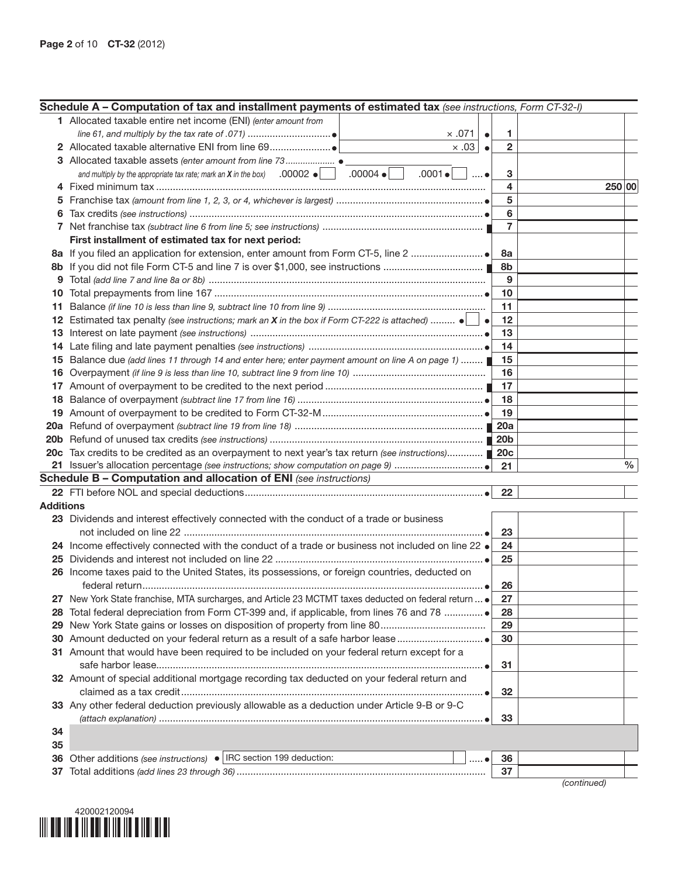| 1 Allocated taxable entire net income (ENI) (enter amount from<br>$\times$ .071<br>1.<br>$\bullet$<br>$\times .03$<br>$\overline{2}$<br>$\bullet$<br>and multiply by the appropriate tax rate; mark an <b>X</b> in the box) $.00002 \cdot$<br>$.00004 \bullet$<br>$.0001 \bullet$<br>3<br>$\ldots$ $\bullet$<br>4<br>250 00<br>5<br>5<br>6<br>6<br>7<br>First installment of estimated tax for next period:<br>8a<br>8b<br>8b<br>9<br>9<br>10<br>10<br>11<br>11<br>Estimated tax penalty (see instructions; mark an X in the box if Form CT-222 is attached) $\bullet$<br>12<br>12<br>$\bullet$<br>13<br>13<br>14<br>14<br>Balance due (add lines 11 through 14 and enter here; enter payment amount on line A on page 1)<br>15<br>15<br>16<br>16<br>17<br>18<br>18<br>19<br>20c Tax credits to be credited as an overpayment to next year's tax return (see instructions) 20c<br>$\%$<br>21<br><b>Schedule B - Computation and allocation of ENI</b> (see instructions)<br>22<br><b>Additions</b><br>23 Dividends and interest effectively connected with the conduct of a trade or business<br>23<br>24 Income effectively connected with the conduct of a trade or business not included on line 22 .<br>24<br>25<br>25<br>26 Income taxes paid to the United States, its possessions, or foreign countries, deducted on<br>26<br>New York State franchise, MTA surcharges, and Article 23 MCTMT taxes deducted on federal return  .<br>27<br>Total federal depreciation from Form CT-399 and, if applicable, from lines 76 and 78 ●<br>28<br>28<br>29<br>29<br>30<br>31 Amount that would have been required to be included on your federal return except for a<br>31<br>32 Amount of special additional mortgage recording tax deducted on your federal return and<br>32<br>33 Any other federal deduction previously allowable as a deduction under Article 9-B or 9-C<br>33<br>34<br>35<br>Other additions (see instructions) •   IRC section 199 deduction:<br>36<br>36<br>$\bullet$<br>37<br>37<br>$($ continued $)$ | Schedule A – Computation of tax and installment payments of estimated tax (see instructions, Form CT-32-I) |  |  |
|-------------------------------------------------------------------------------------------------------------------------------------------------------------------------------------------------------------------------------------------------------------------------------------------------------------------------------------------------------------------------------------------------------------------------------------------------------------------------------------------------------------------------------------------------------------------------------------------------------------------------------------------------------------------------------------------------------------------------------------------------------------------------------------------------------------------------------------------------------------------------------------------------------------------------------------------------------------------------------------------------------------------------------------------------------------------------------------------------------------------------------------------------------------------------------------------------------------------------------------------------------------------------------------------------------------------------------------------------------------------------------------------------------------------------------------------------------------------------------------------------------------------------------------------------------------------------------------------------------------------------------------------------------------------------------------------------------------------------------------------------------------------------------------------------------------------------------------------------------------------------------------------------------------------------------------------------------------------------------------------------------------------------------|------------------------------------------------------------------------------------------------------------|--|--|
|                                                                                                                                                                                                                                                                                                                                                                                                                                                                                                                                                                                                                                                                                                                                                                                                                                                                                                                                                                                                                                                                                                                                                                                                                                                                                                                                                                                                                                                                                                                                                                                                                                                                                                                                                                                                                                                                                                                                                                                                                               |                                                                                                            |  |  |
|                                                                                                                                                                                                                                                                                                                                                                                                                                                                                                                                                                                                                                                                                                                                                                                                                                                                                                                                                                                                                                                                                                                                                                                                                                                                                                                                                                                                                                                                                                                                                                                                                                                                                                                                                                                                                                                                                                                                                                                                                               |                                                                                                            |  |  |
|                                                                                                                                                                                                                                                                                                                                                                                                                                                                                                                                                                                                                                                                                                                                                                                                                                                                                                                                                                                                                                                                                                                                                                                                                                                                                                                                                                                                                                                                                                                                                                                                                                                                                                                                                                                                                                                                                                                                                                                                                               |                                                                                                            |  |  |
|                                                                                                                                                                                                                                                                                                                                                                                                                                                                                                                                                                                                                                                                                                                                                                                                                                                                                                                                                                                                                                                                                                                                                                                                                                                                                                                                                                                                                                                                                                                                                                                                                                                                                                                                                                                                                                                                                                                                                                                                                               |                                                                                                            |  |  |
|                                                                                                                                                                                                                                                                                                                                                                                                                                                                                                                                                                                                                                                                                                                                                                                                                                                                                                                                                                                                                                                                                                                                                                                                                                                                                                                                                                                                                                                                                                                                                                                                                                                                                                                                                                                                                                                                                                                                                                                                                               |                                                                                                            |  |  |
|                                                                                                                                                                                                                                                                                                                                                                                                                                                                                                                                                                                                                                                                                                                                                                                                                                                                                                                                                                                                                                                                                                                                                                                                                                                                                                                                                                                                                                                                                                                                                                                                                                                                                                                                                                                                                                                                                                                                                                                                                               |                                                                                                            |  |  |
|                                                                                                                                                                                                                                                                                                                                                                                                                                                                                                                                                                                                                                                                                                                                                                                                                                                                                                                                                                                                                                                                                                                                                                                                                                                                                                                                                                                                                                                                                                                                                                                                                                                                                                                                                                                                                                                                                                                                                                                                                               |                                                                                                            |  |  |
|                                                                                                                                                                                                                                                                                                                                                                                                                                                                                                                                                                                                                                                                                                                                                                                                                                                                                                                                                                                                                                                                                                                                                                                                                                                                                                                                                                                                                                                                                                                                                                                                                                                                                                                                                                                                                                                                                                                                                                                                                               |                                                                                                            |  |  |
|                                                                                                                                                                                                                                                                                                                                                                                                                                                                                                                                                                                                                                                                                                                                                                                                                                                                                                                                                                                                                                                                                                                                                                                                                                                                                                                                                                                                                                                                                                                                                                                                                                                                                                                                                                                                                                                                                                                                                                                                                               |                                                                                                            |  |  |
|                                                                                                                                                                                                                                                                                                                                                                                                                                                                                                                                                                                                                                                                                                                                                                                                                                                                                                                                                                                                                                                                                                                                                                                                                                                                                                                                                                                                                                                                                                                                                                                                                                                                                                                                                                                                                                                                                                                                                                                                                               |                                                                                                            |  |  |
|                                                                                                                                                                                                                                                                                                                                                                                                                                                                                                                                                                                                                                                                                                                                                                                                                                                                                                                                                                                                                                                                                                                                                                                                                                                                                                                                                                                                                                                                                                                                                                                                                                                                                                                                                                                                                                                                                                                                                                                                                               |                                                                                                            |  |  |
|                                                                                                                                                                                                                                                                                                                                                                                                                                                                                                                                                                                                                                                                                                                                                                                                                                                                                                                                                                                                                                                                                                                                                                                                                                                                                                                                                                                                                                                                                                                                                                                                                                                                                                                                                                                                                                                                                                                                                                                                                               |                                                                                                            |  |  |
|                                                                                                                                                                                                                                                                                                                                                                                                                                                                                                                                                                                                                                                                                                                                                                                                                                                                                                                                                                                                                                                                                                                                                                                                                                                                                                                                                                                                                                                                                                                                                                                                                                                                                                                                                                                                                                                                                                                                                                                                                               |                                                                                                            |  |  |
|                                                                                                                                                                                                                                                                                                                                                                                                                                                                                                                                                                                                                                                                                                                                                                                                                                                                                                                                                                                                                                                                                                                                                                                                                                                                                                                                                                                                                                                                                                                                                                                                                                                                                                                                                                                                                                                                                                                                                                                                                               |                                                                                                            |  |  |
|                                                                                                                                                                                                                                                                                                                                                                                                                                                                                                                                                                                                                                                                                                                                                                                                                                                                                                                                                                                                                                                                                                                                                                                                                                                                                                                                                                                                                                                                                                                                                                                                                                                                                                                                                                                                                                                                                                                                                                                                                               |                                                                                                            |  |  |
|                                                                                                                                                                                                                                                                                                                                                                                                                                                                                                                                                                                                                                                                                                                                                                                                                                                                                                                                                                                                                                                                                                                                                                                                                                                                                                                                                                                                                                                                                                                                                                                                                                                                                                                                                                                                                                                                                                                                                                                                                               |                                                                                                            |  |  |
|                                                                                                                                                                                                                                                                                                                                                                                                                                                                                                                                                                                                                                                                                                                                                                                                                                                                                                                                                                                                                                                                                                                                                                                                                                                                                                                                                                                                                                                                                                                                                                                                                                                                                                                                                                                                                                                                                                                                                                                                                               |                                                                                                            |  |  |
|                                                                                                                                                                                                                                                                                                                                                                                                                                                                                                                                                                                                                                                                                                                                                                                                                                                                                                                                                                                                                                                                                                                                                                                                                                                                                                                                                                                                                                                                                                                                                                                                                                                                                                                                                                                                                                                                                                                                                                                                                               |                                                                                                            |  |  |
|                                                                                                                                                                                                                                                                                                                                                                                                                                                                                                                                                                                                                                                                                                                                                                                                                                                                                                                                                                                                                                                                                                                                                                                                                                                                                                                                                                                                                                                                                                                                                                                                                                                                                                                                                                                                                                                                                                                                                                                                                               |                                                                                                            |  |  |
|                                                                                                                                                                                                                                                                                                                                                                                                                                                                                                                                                                                                                                                                                                                                                                                                                                                                                                                                                                                                                                                                                                                                                                                                                                                                                                                                                                                                                                                                                                                                                                                                                                                                                                                                                                                                                                                                                                                                                                                                                               |                                                                                                            |  |  |
|                                                                                                                                                                                                                                                                                                                                                                                                                                                                                                                                                                                                                                                                                                                                                                                                                                                                                                                                                                                                                                                                                                                                                                                                                                                                                                                                                                                                                                                                                                                                                                                                                                                                                                                                                                                                                                                                                                                                                                                                                               |                                                                                                            |  |  |
|                                                                                                                                                                                                                                                                                                                                                                                                                                                                                                                                                                                                                                                                                                                                                                                                                                                                                                                                                                                                                                                                                                                                                                                                                                                                                                                                                                                                                                                                                                                                                                                                                                                                                                                                                                                                                                                                                                                                                                                                                               |                                                                                                            |  |  |
|                                                                                                                                                                                                                                                                                                                                                                                                                                                                                                                                                                                                                                                                                                                                                                                                                                                                                                                                                                                                                                                                                                                                                                                                                                                                                                                                                                                                                                                                                                                                                                                                                                                                                                                                                                                                                                                                                                                                                                                                                               |                                                                                                            |  |  |
|                                                                                                                                                                                                                                                                                                                                                                                                                                                                                                                                                                                                                                                                                                                                                                                                                                                                                                                                                                                                                                                                                                                                                                                                                                                                                                                                                                                                                                                                                                                                                                                                                                                                                                                                                                                                                                                                                                                                                                                                                               |                                                                                                            |  |  |
|                                                                                                                                                                                                                                                                                                                                                                                                                                                                                                                                                                                                                                                                                                                                                                                                                                                                                                                                                                                                                                                                                                                                                                                                                                                                                                                                                                                                                                                                                                                                                                                                                                                                                                                                                                                                                                                                                                                                                                                                                               |                                                                                                            |  |  |
|                                                                                                                                                                                                                                                                                                                                                                                                                                                                                                                                                                                                                                                                                                                                                                                                                                                                                                                                                                                                                                                                                                                                                                                                                                                                                                                                                                                                                                                                                                                                                                                                                                                                                                                                                                                                                                                                                                                                                                                                                               |                                                                                                            |  |  |
|                                                                                                                                                                                                                                                                                                                                                                                                                                                                                                                                                                                                                                                                                                                                                                                                                                                                                                                                                                                                                                                                                                                                                                                                                                                                                                                                                                                                                                                                                                                                                                                                                                                                                                                                                                                                                                                                                                                                                                                                                               |                                                                                                            |  |  |
|                                                                                                                                                                                                                                                                                                                                                                                                                                                                                                                                                                                                                                                                                                                                                                                                                                                                                                                                                                                                                                                                                                                                                                                                                                                                                                                                                                                                                                                                                                                                                                                                                                                                                                                                                                                                                                                                                                                                                                                                                               |                                                                                                            |  |  |
|                                                                                                                                                                                                                                                                                                                                                                                                                                                                                                                                                                                                                                                                                                                                                                                                                                                                                                                                                                                                                                                                                                                                                                                                                                                                                                                                                                                                                                                                                                                                                                                                                                                                                                                                                                                                                                                                                                                                                                                                                               |                                                                                                            |  |  |
|                                                                                                                                                                                                                                                                                                                                                                                                                                                                                                                                                                                                                                                                                                                                                                                                                                                                                                                                                                                                                                                                                                                                                                                                                                                                                                                                                                                                                                                                                                                                                                                                                                                                                                                                                                                                                                                                                                                                                                                                                               |                                                                                                            |  |  |
|                                                                                                                                                                                                                                                                                                                                                                                                                                                                                                                                                                                                                                                                                                                                                                                                                                                                                                                                                                                                                                                                                                                                                                                                                                                                                                                                                                                                                                                                                                                                                                                                                                                                                                                                                                                                                                                                                                                                                                                                                               |                                                                                                            |  |  |
|                                                                                                                                                                                                                                                                                                                                                                                                                                                                                                                                                                                                                                                                                                                                                                                                                                                                                                                                                                                                                                                                                                                                                                                                                                                                                                                                                                                                                                                                                                                                                                                                                                                                                                                                                                                                                                                                                                                                                                                                                               |                                                                                                            |  |  |
|                                                                                                                                                                                                                                                                                                                                                                                                                                                                                                                                                                                                                                                                                                                                                                                                                                                                                                                                                                                                                                                                                                                                                                                                                                                                                                                                                                                                                                                                                                                                                                                                                                                                                                                                                                                                                                                                                                                                                                                                                               |                                                                                                            |  |  |
|                                                                                                                                                                                                                                                                                                                                                                                                                                                                                                                                                                                                                                                                                                                                                                                                                                                                                                                                                                                                                                                                                                                                                                                                                                                                                                                                                                                                                                                                                                                                                                                                                                                                                                                                                                                                                                                                                                                                                                                                                               |                                                                                                            |  |  |
|                                                                                                                                                                                                                                                                                                                                                                                                                                                                                                                                                                                                                                                                                                                                                                                                                                                                                                                                                                                                                                                                                                                                                                                                                                                                                                                                                                                                                                                                                                                                                                                                                                                                                                                                                                                                                                                                                                                                                                                                                               |                                                                                                            |  |  |
|                                                                                                                                                                                                                                                                                                                                                                                                                                                                                                                                                                                                                                                                                                                                                                                                                                                                                                                                                                                                                                                                                                                                                                                                                                                                                                                                                                                                                                                                                                                                                                                                                                                                                                                                                                                                                                                                                                                                                                                                                               |                                                                                                            |  |  |
|                                                                                                                                                                                                                                                                                                                                                                                                                                                                                                                                                                                                                                                                                                                                                                                                                                                                                                                                                                                                                                                                                                                                                                                                                                                                                                                                                                                                                                                                                                                                                                                                                                                                                                                                                                                                                                                                                                                                                                                                                               |                                                                                                            |  |  |
|                                                                                                                                                                                                                                                                                                                                                                                                                                                                                                                                                                                                                                                                                                                                                                                                                                                                                                                                                                                                                                                                                                                                                                                                                                                                                                                                                                                                                                                                                                                                                                                                                                                                                                                                                                                                                                                                                                                                                                                                                               |                                                                                                            |  |  |
|                                                                                                                                                                                                                                                                                                                                                                                                                                                                                                                                                                                                                                                                                                                                                                                                                                                                                                                                                                                                                                                                                                                                                                                                                                                                                                                                                                                                                                                                                                                                                                                                                                                                                                                                                                                                                                                                                                                                                                                                                               |                                                                                                            |  |  |
|                                                                                                                                                                                                                                                                                                                                                                                                                                                                                                                                                                                                                                                                                                                                                                                                                                                                                                                                                                                                                                                                                                                                                                                                                                                                                                                                                                                                                                                                                                                                                                                                                                                                                                                                                                                                                                                                                                                                                                                                                               |                                                                                                            |  |  |
|                                                                                                                                                                                                                                                                                                                                                                                                                                                                                                                                                                                                                                                                                                                                                                                                                                                                                                                                                                                                                                                                                                                                                                                                                                                                                                                                                                                                                                                                                                                                                                                                                                                                                                                                                                                                                                                                                                                                                                                                                               |                                                                                                            |  |  |
|                                                                                                                                                                                                                                                                                                                                                                                                                                                                                                                                                                                                                                                                                                                                                                                                                                                                                                                                                                                                                                                                                                                                                                                                                                                                                                                                                                                                                                                                                                                                                                                                                                                                                                                                                                                                                                                                                                                                                                                                                               |                                                                                                            |  |  |
|                                                                                                                                                                                                                                                                                                                                                                                                                                                                                                                                                                                                                                                                                                                                                                                                                                                                                                                                                                                                                                                                                                                                                                                                                                                                                                                                                                                                                                                                                                                                                                                                                                                                                                                                                                                                                                                                                                                                                                                                                               |                                                                                                            |  |  |
|                                                                                                                                                                                                                                                                                                                                                                                                                                                                                                                                                                                                                                                                                                                                                                                                                                                                                                                                                                                                                                                                                                                                                                                                                                                                                                                                                                                                                                                                                                                                                                                                                                                                                                                                                                                                                                                                                                                                                                                                                               |                                                                                                            |  |  |
|                                                                                                                                                                                                                                                                                                                                                                                                                                                                                                                                                                                                                                                                                                                                                                                                                                                                                                                                                                                                                                                                                                                                                                                                                                                                                                                                                                                                                                                                                                                                                                                                                                                                                                                                                                                                                                                                                                                                                                                                                               |                                                                                                            |  |  |
|                                                                                                                                                                                                                                                                                                                                                                                                                                                                                                                                                                                                                                                                                                                                                                                                                                                                                                                                                                                                                                                                                                                                                                                                                                                                                                                                                                                                                                                                                                                                                                                                                                                                                                                                                                                                                                                                                                                                                                                                                               |                                                                                                            |  |  |
|                                                                                                                                                                                                                                                                                                                                                                                                                                                                                                                                                                                                                                                                                                                                                                                                                                                                                                                                                                                                                                                                                                                                                                                                                                                                                                                                                                                                                                                                                                                                                                                                                                                                                                                                                                                                                                                                                                                                                                                                                               |                                                                                                            |  |  |
|                                                                                                                                                                                                                                                                                                                                                                                                                                                                                                                                                                                                                                                                                                                                                                                                                                                                                                                                                                                                                                                                                                                                                                                                                                                                                                                                                                                                                                                                                                                                                                                                                                                                                                                                                                                                                                                                                                                                                                                                                               |                                                                                                            |  |  |
|                                                                                                                                                                                                                                                                                                                                                                                                                                                                                                                                                                                                                                                                                                                                                                                                                                                                                                                                                                                                                                                                                                                                                                                                                                                                                                                                                                                                                                                                                                                                                                                                                                                                                                                                                                                                                                                                                                                                                                                                                               |                                                                                                            |  |  |
|                                                                                                                                                                                                                                                                                                                                                                                                                                                                                                                                                                                                                                                                                                                                                                                                                                                                                                                                                                                                                                                                                                                                                                                                                                                                                                                                                                                                                                                                                                                                                                                                                                                                                                                                                                                                                                                                                                                                                                                                                               |                                                                                                            |  |  |



*(continued)*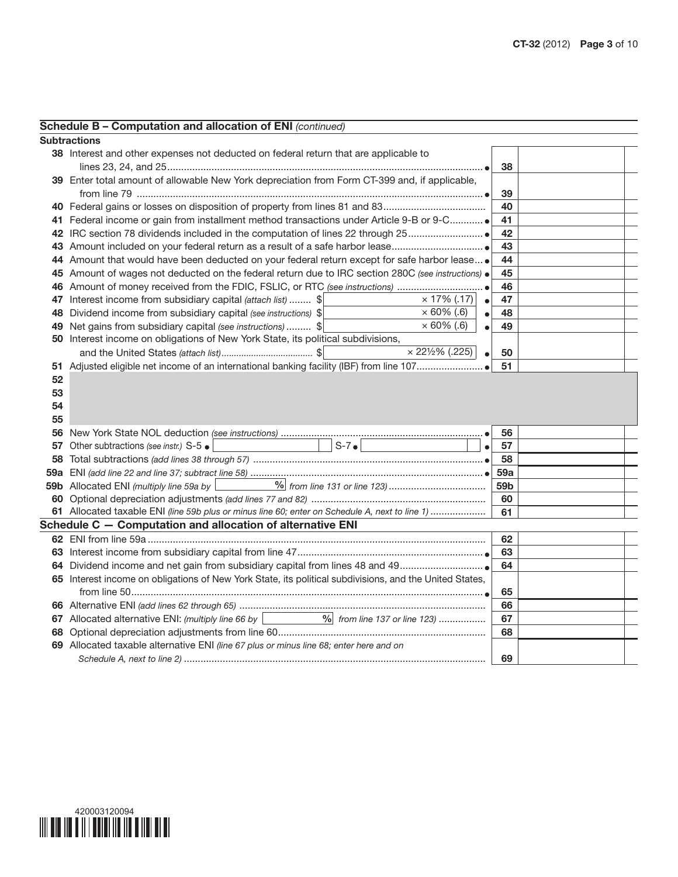|    | Schedule B - Computation and allocation of ENI (continued)                                                                  |                 |  |
|----|-----------------------------------------------------------------------------------------------------------------------------|-----------------|--|
|    | <b>Subtractions</b>                                                                                                         |                 |  |
|    | 38 Interest and other expenses not deducted on federal return that are applicable to                                        |                 |  |
|    |                                                                                                                             | 38              |  |
|    | 39 Enter total amount of allowable New York depreciation from Form CT-399 and, if applicable,                               |                 |  |
|    |                                                                                                                             | 39              |  |
|    |                                                                                                                             | 40              |  |
|    | 41 Federal income or gain from installment method transactions under Article 9-B or 9-C                                     | 41              |  |
|    |                                                                                                                             | 42              |  |
|    |                                                                                                                             | 43              |  |
|    | 44 Amount that would have been deducted on your federal return except for safe harbor lease .                               | 44              |  |
|    | 45 Amount of wages not deducted on the federal return due to IRC section 280C (see instructions) .                          | 45              |  |
|    |                                                                                                                             | 46              |  |
|    | $\times$ 17% (.17)<br>47 Interest income from subsidiary capital (attach list)  \$<br>$\bullet$                             | 47              |  |
|    | $\times 60\%$ (.6)<br>48 Dividend income from subsidiary capital (see instructions) \$<br>$\bullet$                         | 48              |  |
|    | $\times$ 60% (.6)<br>49 Net gains from subsidiary capital (see instructions)  \$<br>$\bullet$                               | 49              |  |
|    | 50 Interest income on obligations of New York State, its political subdivisions,                                            |                 |  |
|    | $\times$ 221/2% (.225)<br>$\bullet$                                                                                         | 50              |  |
| 51 |                                                                                                                             | 51              |  |
| 52 |                                                                                                                             |                 |  |
| 53 |                                                                                                                             |                 |  |
| 54 |                                                                                                                             |                 |  |
| 55 |                                                                                                                             |                 |  |
|    |                                                                                                                             | 56              |  |
|    | $S-7$ $\bullet$<br>57 Other subtractions (see instr.) S-5 .<br>$\bullet$                                                    | 57              |  |
| 58 |                                                                                                                             | 58              |  |
|    |                                                                                                                             | <b>59a</b>      |  |
|    | 59b Allocated ENI (multiply line 59a by                                                                                     | 59 <sub>b</sub> |  |
|    |                                                                                                                             | 60              |  |
|    | 61 Allocated taxable ENI (line 59b plus or minus line 60; enter on Schedule A, next to line 1)                              | 61              |  |
|    | Schedule C - Computation and allocation of alternative ENI                                                                  |                 |  |
|    |                                                                                                                             |                 |  |
|    |                                                                                                                             | 62              |  |
|    |                                                                                                                             | 63              |  |
|    |                                                                                                                             | 64              |  |
|    | 65 Interest income on obligations of New York State, its political subdivisions, and the United States,                     |                 |  |
|    |                                                                                                                             | 65              |  |
|    |                                                                                                                             | 66              |  |
|    | 67 Allocated alternative ENI: (multiply line 66 by $\boxed{\qquad \qquad \qquad \qquad \qquad }$ from line 137 or line 123) | 67              |  |
|    |                                                                                                                             | 68              |  |
|    | 69 Allocated taxable alternative ENI (line 67 plus or minus line 68; enter here and on                                      |                 |  |

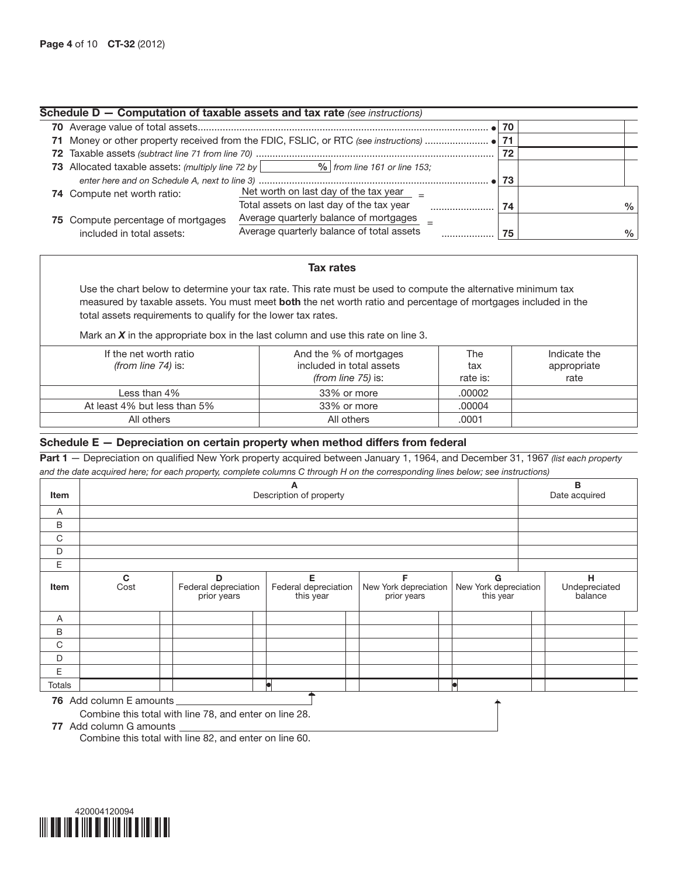|                                    | Schedule D - Computation of taxable assets and tax rate (see instructions)                     |    |      |
|------------------------------------|------------------------------------------------------------------------------------------------|----|------|
|                                    |                                                                                                | 70 |      |
|                                    |                                                                                                | 71 |      |
|                                    |                                                                                                | 72 |      |
|                                    | <b>73</b> Allocated taxable assets: (multiply line 72 by $\vert$ 9% from line 161 or line 153; |    |      |
|                                    |                                                                                                | 73 |      |
| <b>74</b> Compute net worth ratio: | Net worth on last day of the tax year                                                          |    |      |
|                                    | Total assets on last day of the tax year                                                       | 74 | $\%$ |
| 75 Compute percentage of mortgages | Average quarterly balance of mortgages                                                         |    |      |
| included in total assets:          | Average quarterly balance of total assets                                                      | 75 | $\%$ |

## Tax rates

Use the chart below to determine your tax rate. This rate must be used to compute the alternative minimum tax measured by taxable assets. You must meet both the net worth ratio and percentage of mortgages included in the total assets requirements to qualify for the lower tax rates.

Mark an *X* in the appropriate box in the last column and use this rate on line 3.

| If the net worth ratio<br>(from line $74$ ) is: | And the % of mortgages<br>included in total assets<br>(from line 75) is: | The<br>tax<br>rate is: | Indicate the<br>appropriate<br>rate |
|-------------------------------------------------|--------------------------------------------------------------------------|------------------------|-------------------------------------|
| Less than 4%                                    | 33% or more                                                              | .00002                 |                                     |
| At least 4% but less than 5%                    | 33% or more                                                              | .00004                 |                                     |
| All others                                      | All others                                                               | .0001                  |                                     |

# Schedule E — Depreciation on certain property when method differs from federal

Part 1 — Depreciation on qualified New York property acquired between January 1, 1964, and December 31, 1967 *(list each property and the date acquired here; for each property, complete columns C through H on the corresponding lines below; see instructions)*

| Item          |                         |                                          | A<br>Description of property           |                                           |                                         | B<br>Date acquired |                               |  |
|---------------|-------------------------|------------------------------------------|----------------------------------------|-------------------------------------------|-----------------------------------------|--------------------|-------------------------------|--|
| Α             |                         |                                          |                                        |                                           |                                         |                    |                               |  |
| B             |                         |                                          |                                        |                                           |                                         |                    |                               |  |
| C             |                         |                                          |                                        |                                           |                                         |                    |                               |  |
| D             |                         |                                          |                                        |                                           |                                         |                    |                               |  |
| Ε             |                         |                                          |                                        |                                           |                                         |                    |                               |  |
| Item          | C<br>Cost               | D<br>Federal depreciation<br>prior years | Е<br>Federal depreciation<br>this year | F<br>New York depreciation<br>prior years | G<br>New York depreciation<br>this year |                    | н<br>Undepreciated<br>balance |  |
| A             |                         |                                          |                                        |                                           |                                         |                    |                               |  |
| B             |                         |                                          |                                        |                                           |                                         |                    |                               |  |
| C             |                         |                                          |                                        |                                           |                                         |                    |                               |  |
| D             |                         |                                          |                                        |                                           |                                         |                    |                               |  |
| E             |                         |                                          |                                        |                                           |                                         |                    |                               |  |
| <b>Totals</b> |                         |                                          |                                        |                                           |                                         |                    |                               |  |
|               | 76 Add column E amounts |                                          |                                        |                                           | ✦                                       |                    |                               |  |

Combine this total with line 78, and enter on line 28.

77 Add column G amounts

Combine this total with line 82, and enter on line 60.

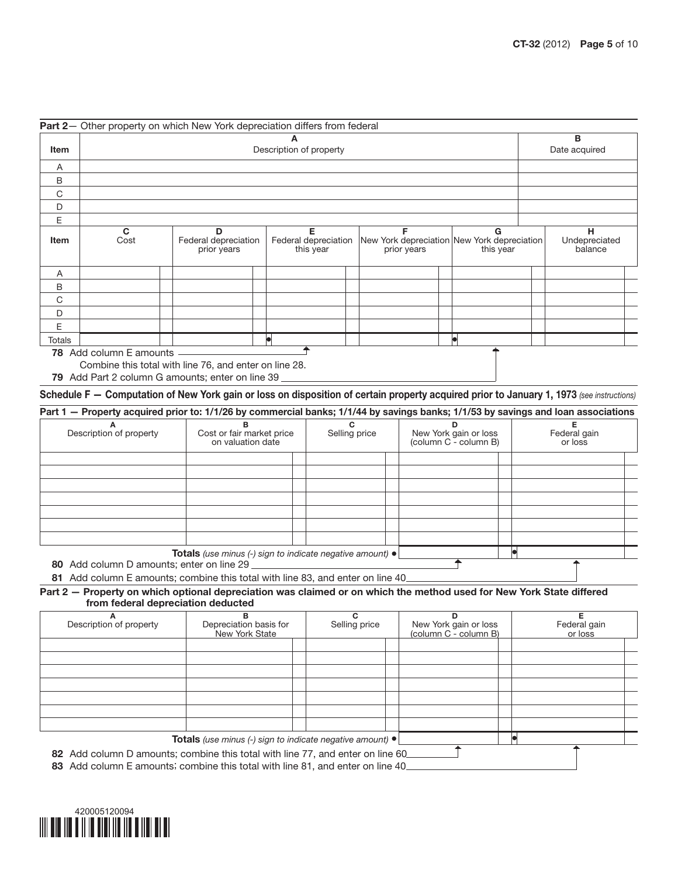|        |                         | Part 2- Other property on which New York depreciation differs from federal |                                        |                                                                 |                |                               |
|--------|-------------------------|----------------------------------------------------------------------------|----------------------------------------|-----------------------------------------------------------------|----------------|-------------------------------|
|        |                         |                                                                            | A                                      |                                                                 |                | В                             |
| Item   |                         |                                                                            | Date acquired                          |                                                                 |                |                               |
| A      |                         |                                                                            |                                        |                                                                 |                |                               |
| B      |                         |                                                                            |                                        |                                                                 |                |                               |
| C      |                         |                                                                            |                                        |                                                                 |                |                               |
| D      |                         |                                                                            |                                        |                                                                 |                |                               |
| E      |                         |                                                                            |                                        |                                                                 |                |                               |
| Item   | $\mathbf{C}$<br>Cost    | D<br>Federal depreciation<br>prior years                                   | Е<br>Federal depreciation<br>this year | F<br>New York depreciation New York depreciation<br>prior years | G<br>this year | н<br>Undepreciated<br>balance |
| Α      |                         |                                                                            |                                        |                                                                 |                |                               |
| B      |                         |                                                                            |                                        |                                                                 |                |                               |
| C      |                         |                                                                            |                                        |                                                                 |                |                               |
| D      |                         |                                                                            |                                        |                                                                 |                |                               |
| Е      |                         |                                                                            |                                        |                                                                 |                |                               |
| Totals |                         |                                                                            | le                                     |                                                                 |                |                               |
|        | 78 Add column E amounts | Combine this total with line 76, and enter on line 28.                     |                                        |                                                                 |                |                               |

79 Add Part 2 column G amounts; enter on line 39

Schedule F — Computation of New York gain or loss on disposition of certain property acquired prior to January 1, 1973 *(see instructions)*

| Part 1 – Property acquired prior to: 1/1/26 by commercial banks; 1/1/44 by savings banks; 1/1/53 by savings and loan associations |                                                                  |               |                                                |                         |  |  |  |
|-----------------------------------------------------------------------------------------------------------------------------------|------------------------------------------------------------------|---------------|------------------------------------------------|-------------------------|--|--|--|
| ∼<br>Description of property                                                                                                      | Cost or fair market price<br>on valuation date                   | Selling price | New York gain or loss<br>(column C - column B) | Federal gain<br>or loss |  |  |  |
|                                                                                                                                   |                                                                  |               |                                                |                         |  |  |  |
|                                                                                                                                   |                                                                  |               |                                                |                         |  |  |  |
|                                                                                                                                   |                                                                  |               |                                                |                         |  |  |  |
|                                                                                                                                   | <b>Totals</b> (use minus (-) sign to indicate negative amount) ● |               |                                                |                         |  |  |  |

₹

 $\Box$ 

80 Add column D amounts; enter on line 29

81 Add column E amounts; combine this total with line 83, and enter on line 40

Part 2 – Property on which optional depreciation was claimed or on which the method used for New York State differed from federal depreciation deducted

| Description of property | Depreciation basis for<br>New York State                  | Selling price | New York gain or loss<br>(column C - column B) | Federal gain<br>or loss |
|-------------------------|-----------------------------------------------------------|---------------|------------------------------------------------|-------------------------|
|                         |                                                           |               |                                                |                         |
|                         |                                                           |               |                                                |                         |
|                         |                                                           |               |                                                |                         |
|                         |                                                           |               |                                                |                         |
|                         |                                                           |               |                                                |                         |
|                         |                                                           |               |                                                |                         |
|                         |                                                           |               |                                                |                         |
|                         | Totals (use minus (-) sign to indicate negative amount) · |               |                                                |                         |

82 Add column D amounts; combine this total with line 77, and enter on line 60\_

83 Add column E amounts; combine this total with line 81, and enter on line 40

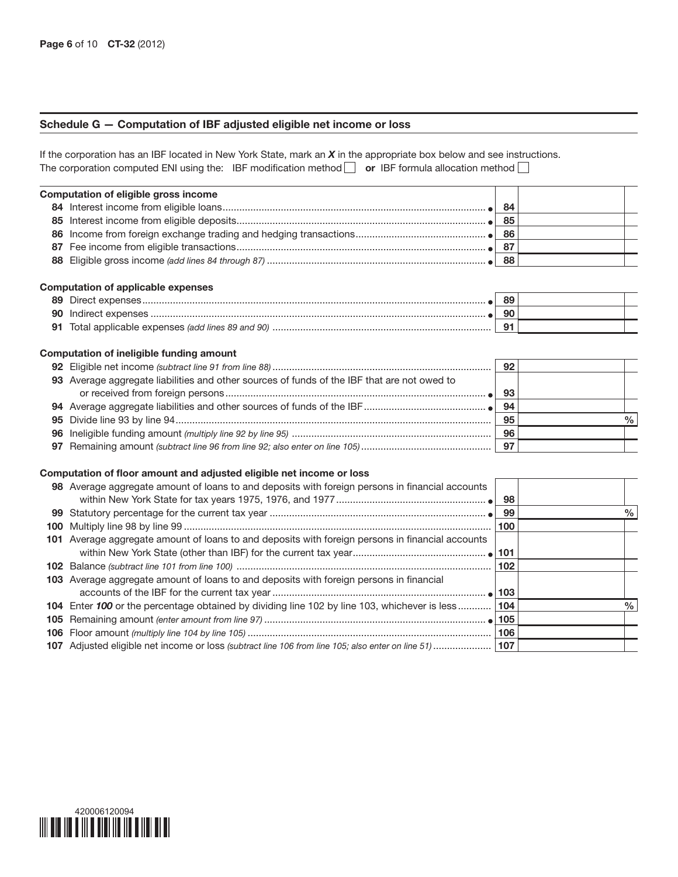## Schedule G — Computation of IBF adjusted eligible net income or loss

If the corporation has an IBF located in New York State, mark an *X* in the appropriate box below and see instructions. The corporation computed ENI using the: IBF modification method  $\Box$  or IBF formula allocation method  $\Box$ 

| Computation of eligible gross income |     |  |
|--------------------------------------|-----|--|
|                                      | 84  |  |
|                                      | 85  |  |
|                                      |     |  |
|                                      | -87 |  |
|                                      | 88  |  |

#### Computation of applicable expenses

|     | 89       |  |
|-----|----------|--|
|     | 90       |  |
| -91 | <b>9</b> |  |

#### Computation of ineligible funding amount

|                                                                                             | 92 |  |
|---------------------------------------------------------------------------------------------|----|--|
| 93 Average aggregate liabilities and other sources of funds of the IBF that are not owed to |    |  |
|                                                                                             | 93 |  |
|                                                                                             | 94 |  |
|                                                                                             | 95 |  |
|                                                                                             | 96 |  |
|                                                                                             | 97 |  |

#### Computation of floor amount and adjusted eligible net income or loss

| 98 Average aggregate amount of loans to and deposits with foreign persons in financial accounts         |     |      |
|---------------------------------------------------------------------------------------------------------|-----|------|
|                                                                                                         | 99  | %    |
|                                                                                                         | 100 |      |
| 101 Average aggregate amount of loans to and deposits with foreign persons in financial accounts        |     |      |
|                                                                                                         |     |      |
| 103 Average aggregate amount of loans to and deposits with foreign persons in financial                 |     |      |
| 104 Enter 100 or the percentage obtained by dividing line 102 by line 103, whichever is less 104        |     | $\%$ |
|                                                                                                         |     |      |
|                                                                                                         |     |      |
| 107 Adjusted eligible net income or loss (subtract line 106 from line 105; also enter on line 51)   107 |     |      |
|                                                                                                         |     |      |

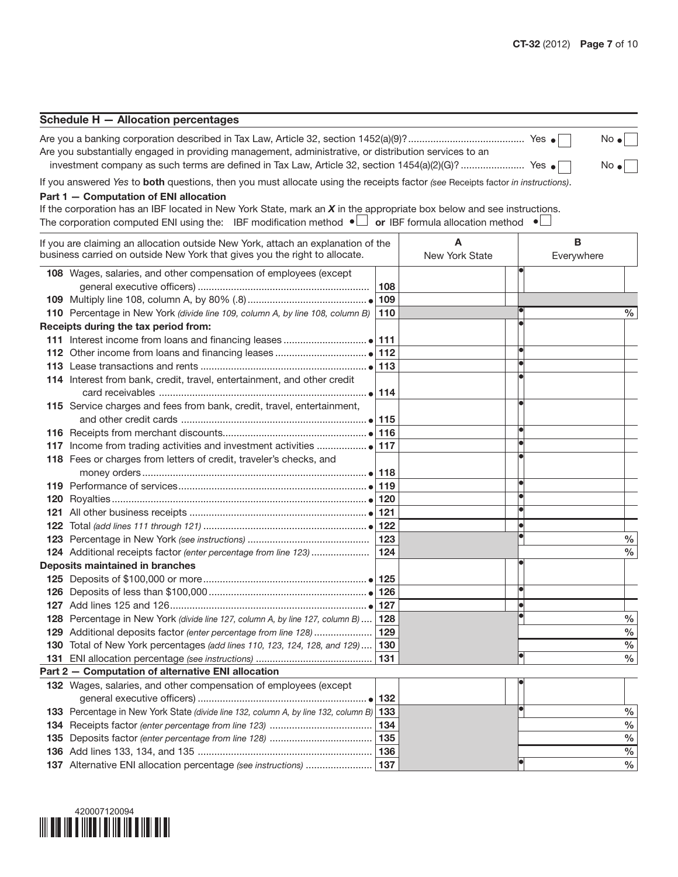| Schedule H - Allocation percentages                                                                   |  |              |  |  |  |  |  |  |
|-------------------------------------------------------------------------------------------------------|--|--------------|--|--|--|--|--|--|
|                                                                                                       |  | $No \bullet$ |  |  |  |  |  |  |
| Are you substantially engaged in providing management, administrative, or distribution services to an |  |              |  |  |  |  |  |  |

investment company as such terms are defined in Tax Law, Article 32, section 1454(a)(2)(G)? ....................... Yes No

If you answered *Yes* to both questions, then you must allocate using the receipts factor *(see* Receipts factor *in instructions)*.

### Part 1 — Computation of ENI allocation

If the corporation has an IBF located in New York State, mark an *X* in the appropriate box below and see instructions. The corporation computed ENI using the: IBF modification method  $\bullet$  or IBF formula allocation method  $\bullet$ 

| If you are claiming an allocation outside New York, attach an explanation of the<br>business carried on outside New York that gives you the right to allocate. |     | А<br>New York State | В<br>Everywhere |               |
|----------------------------------------------------------------------------------------------------------------------------------------------------------------|-----|---------------------|-----------------|---------------|
| 108 Wages, salaries, and other compensation of employees (except                                                                                               |     |                     |                 |               |
|                                                                                                                                                                | 108 |                     |                 |               |
|                                                                                                                                                                | 109 |                     |                 |               |
| 110 Percentage in New York (divide line 109, column A, by line 108, column B)                                                                                  | 110 |                     |                 | %             |
| Receipts during the tax period from:                                                                                                                           |     |                     |                 |               |
|                                                                                                                                                                | 111 |                     |                 |               |
|                                                                                                                                                                |     |                     |                 |               |
|                                                                                                                                                                |     |                     |                 |               |
| 114 Interest from bank, credit, travel, entertainment, and other credit                                                                                        |     |                     |                 |               |
|                                                                                                                                                                |     |                     |                 |               |
| 115 Service charges and fees from bank, credit, travel, entertainment,                                                                                         |     |                     |                 |               |
|                                                                                                                                                                |     |                     |                 |               |
|                                                                                                                                                                | 116 |                     |                 |               |
|                                                                                                                                                                | 117 |                     |                 |               |
| 118 Fees or charges from letters of credit, traveler's checks, and                                                                                             |     |                     |                 |               |
|                                                                                                                                                                |     |                     |                 |               |
|                                                                                                                                                                | 119 |                     |                 |               |
|                                                                                                                                                                |     |                     |                 |               |
|                                                                                                                                                                |     |                     |                 |               |
|                                                                                                                                                                | 122 |                     |                 |               |
|                                                                                                                                                                | 123 |                     |                 | $\frac{0}{0}$ |
| 124 Additional receipts factor (enter percentage from line 123)                                                                                                | 124 |                     |                 | $\%$          |
| Deposits maintained in branches                                                                                                                                |     |                     |                 |               |
|                                                                                                                                                                |     |                     |                 |               |
|                                                                                                                                                                |     |                     |                 |               |
|                                                                                                                                                                |     |                     |                 |               |
| 128 Percentage in New York (divide line 127, column A, by line 127, column B)                                                                                  | 128 |                     |                 | $\%$          |
| 129 Additional deposits factor (enter percentage from line 128)                                                                                                | 129 |                     |                 | $\%$          |
| 130 Total of New York percentages (add lines 110, 123, 124, 128, and 129) 130                                                                                  |     |                     |                 | $\%$          |
|                                                                                                                                                                | 131 |                     |                 | $\%$          |
| Part 2 - Computation of alternative ENI allocation                                                                                                             |     |                     |                 |               |
| 132 Wages, salaries, and other compensation of employees (except                                                                                               |     |                     |                 |               |
|                                                                                                                                                                |     |                     |                 |               |
| 133 Percentage in New York State (divide line 132, column A, by line 132, column B) 133                                                                        |     |                     |                 | $\frac{0}{0}$ |
|                                                                                                                                                                | 134 |                     |                 | $\frac{0}{0}$ |
|                                                                                                                                                                |     |                     |                 | $\%$          |
|                                                                                                                                                                |     |                     |                 | $\frac{0}{0}$ |
|                                                                                                                                                                |     |                     |                 | $\frac{0}{0}$ |

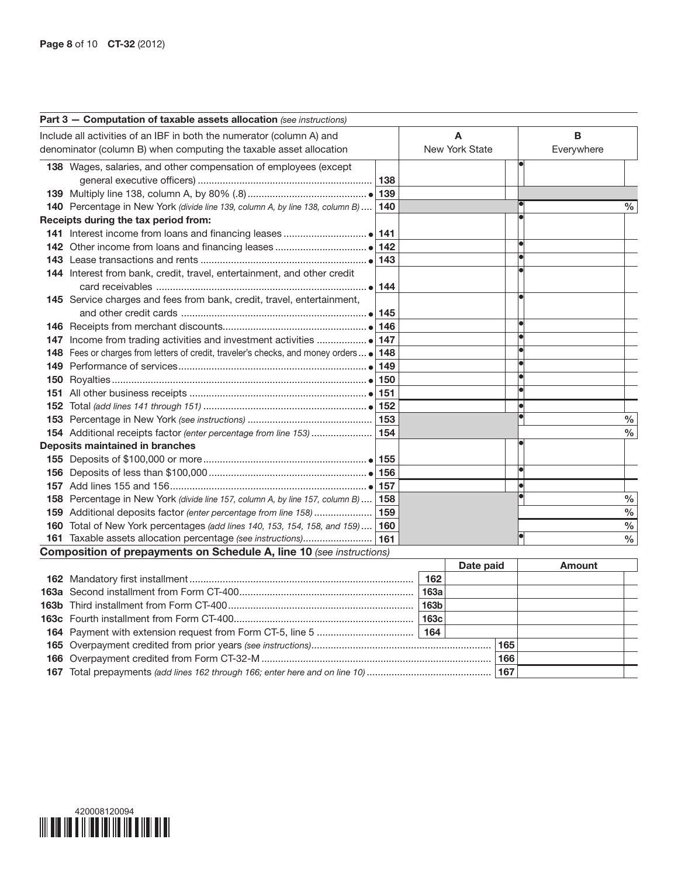|     | Part 3 - Computation of taxable assets allocation (see instructions)                    |     |                |               |
|-----|-----------------------------------------------------------------------------------------|-----|----------------|---------------|
|     | Include all activities of an IBF in both the numerator (column A) and                   |     | A              | в             |
|     | denominator (column B) when computing the taxable asset allocation                      |     | New York State | Everywhere    |
|     | 138 Wages, salaries, and other compensation of employees (except                        |     |                |               |
|     |                                                                                         | 138 |                |               |
|     |                                                                                         | 139 |                |               |
|     | 140 Percentage in New York (divide line 139, column A, by line 138, column B)           | 140 |                | $\%$          |
|     | Receipts during the tax period from:                                                    |     |                |               |
|     |                                                                                         |     |                |               |
|     |                                                                                         |     |                |               |
|     |                                                                                         | 143 |                |               |
|     | 144 Interest from bank, credit, travel, entertainment, and other credit                 |     |                |               |
|     |                                                                                         | 144 |                |               |
|     | 145 Service charges and fees from bank, credit, travel, entertainment,                  |     |                |               |
|     |                                                                                         |     |                |               |
|     |                                                                                         |     |                |               |
|     |                                                                                         |     |                |               |
|     | 148 Fees or charges from letters of credit, traveler's checks, and money orders .   148 |     |                |               |
|     |                                                                                         | 149 |                |               |
| 150 |                                                                                         |     |                |               |
| 151 |                                                                                         |     |                |               |
|     |                                                                                         |     |                |               |
|     |                                                                                         |     |                | $\%$          |
|     | 154 Additional receipts factor (enter percentage from line 153)                         | 154 |                | $\%$          |
|     | <b>Deposits maintained in branches</b>                                                  |     |                |               |
|     |                                                                                         |     |                |               |
|     |                                                                                         |     |                |               |
|     |                                                                                         |     |                |               |
|     | 158 Percentage in New York (divide line 157, column A, by line 157, column B)  158      |     |                | $\%$          |
|     | 159 Additional deposits factor (enter percentage from line 158)                         | 159 |                | $\%$          |
|     | 160 Total of New York percentages (add lines 140, 153, 154, 158, and 159) 160           |     |                | $\frac{0}{0}$ |
|     |                                                                                         |     |                | $\frac{0}{0}$ |
|     | <b>Composition of prepayments on Schedule A, line 10 (see instructions)</b>             |     |                |               |

|  |                  |  |  | Amount |  |
|--|------------------|--|--|--------|--|
|  | 162              |  |  |        |  |
|  | 163a             |  |  |        |  |
|  | 163b             |  |  |        |  |
|  | 163 <sub>c</sub> |  |  |        |  |
|  |                  |  |  |        |  |
|  |                  |  |  |        |  |
|  |                  |  |  |        |  |
|  |                  |  |  |        |  |

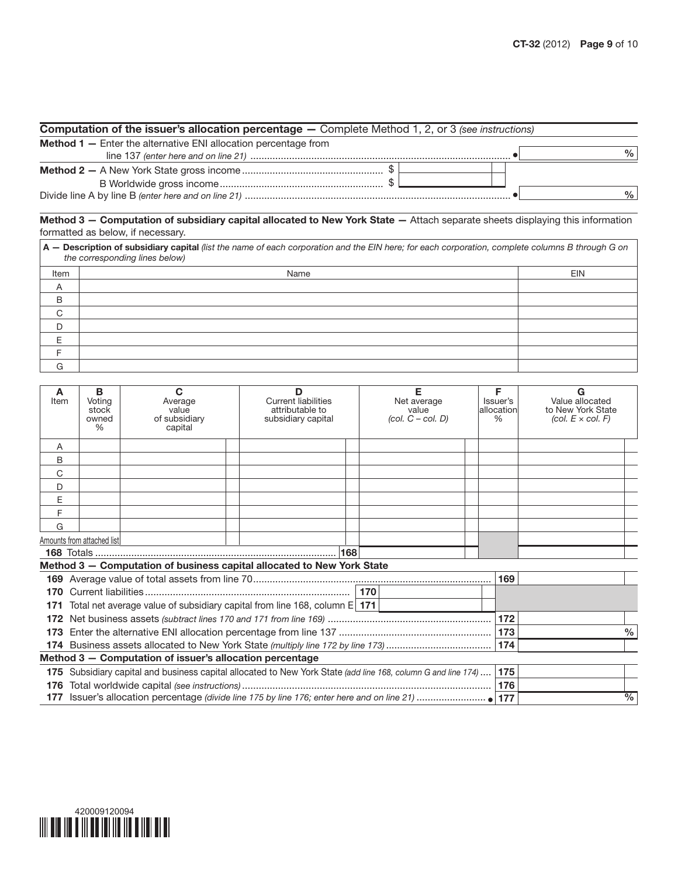| <b>Computation of the issuer's allocation percentage –</b> Complete Method 1, 2, or 3 (see instructions) |               |  |  |  |  |  |
|----------------------------------------------------------------------------------------------------------|---------------|--|--|--|--|--|
| <b>Method 1</b> - Enter the alternative ENI allocation percentage from                                   |               |  |  |  |  |  |
|                                                                                                          | $\%$          |  |  |  |  |  |
|                                                                                                          |               |  |  |  |  |  |
|                                                                                                          |               |  |  |  |  |  |
|                                                                                                          | $\frac{0}{0}$ |  |  |  |  |  |

Method 3 - Computation of subsidiary capital allocated to New York State - Attach separate sheets displaying this information formatted as below, if necessary.

| A - Description of subsidiary capital (list the name of each corporation and the EIN here; for each corporation, complete columns B through G on<br>the corresponding lines below) |      |            |  |  |  |  |
|------------------------------------------------------------------------------------------------------------------------------------------------------------------------------------|------|------------|--|--|--|--|
| Item                                                                                                                                                                               | Name | <b>EIN</b> |  |  |  |  |
| Α                                                                                                                                                                                  |      |            |  |  |  |  |
| B                                                                                                                                                                                  |      |            |  |  |  |  |
| C                                                                                                                                                                                  |      |            |  |  |  |  |
| D                                                                                                                                                                                  |      |            |  |  |  |  |
| E                                                                                                                                                                                  |      |            |  |  |  |  |
|                                                                                                                                                                                    |      |            |  |  |  |  |
| G                                                                                                                                                                                  |      |            |  |  |  |  |

| A<br>Item | B<br>Voting<br>stock<br>owned<br>%                                                                        | $\mathbf C$<br>Average<br>value<br>of subsidiary<br>capital | D<br><b>Current liabilities</b><br>attributable to<br>subsidiary capital     | Е<br>Net average<br>value<br>$(col. C - col. D)$ |  | F<br>Issuer's<br>allocation<br>% | G<br>Value allocated<br>to New York State<br>(col. $E \times$ col. F) |
|-----------|-----------------------------------------------------------------------------------------------------------|-------------------------------------------------------------|------------------------------------------------------------------------------|--------------------------------------------------|--|----------------------------------|-----------------------------------------------------------------------|
| A         |                                                                                                           |                                                             |                                                                              |                                                  |  |                                  |                                                                       |
| B         |                                                                                                           |                                                             |                                                                              |                                                  |  |                                  |                                                                       |
| C         |                                                                                                           |                                                             |                                                                              |                                                  |  |                                  |                                                                       |
| D         |                                                                                                           |                                                             |                                                                              |                                                  |  |                                  |                                                                       |
| E         |                                                                                                           |                                                             |                                                                              |                                                  |  |                                  |                                                                       |
| F         |                                                                                                           |                                                             |                                                                              |                                                  |  |                                  |                                                                       |
| G         |                                                                                                           |                                                             |                                                                              |                                                  |  |                                  |                                                                       |
|           | Amounts from attached list                                                                                |                                                             |                                                                              |                                                  |  |                                  |                                                                       |
|           |                                                                                                           |                                                             |                                                                              |                                                  |  |                                  |                                                                       |
|           |                                                                                                           |                                                             | Method 3 - Computation of business capital allocated to New York State       |                                                  |  | 169                              |                                                                       |
| 170       |                                                                                                           |                                                             |                                                                              |                                                  |  |                                  |                                                                       |
| 171       |                                                                                                           |                                                             | Total net average value of subsidiary capital from line 168, column $E 171 $ |                                                  |  |                                  |                                                                       |
| 172       |                                                                                                           |                                                             |                                                                              |                                                  |  | 172                              |                                                                       |
| 173       |                                                                                                           |                                                             |                                                                              |                                                  |  |                                  | $\%$                                                                  |
|           |                                                                                                           |                                                             |                                                                              |                                                  |  | 174                              |                                                                       |
|           | Method 3 - Computation of issuer's allocation percentage                                                  |                                                             |                                                                              |                                                  |  |                                  |                                                                       |
| 175       | Subsidiary capital and business capital allocated to New York State (add line 168, column G and line 174) |                                                             |                                                                              |                                                  |  |                                  |                                                                       |
| 176       |                                                                                                           |                                                             |                                                                              |                                                  |  | 175<br>176                       |                                                                       |
|           |                                                                                                           |                                                             |                                                                              | $\frac{0}{0}$                                    |  |                                  |                                                                       |